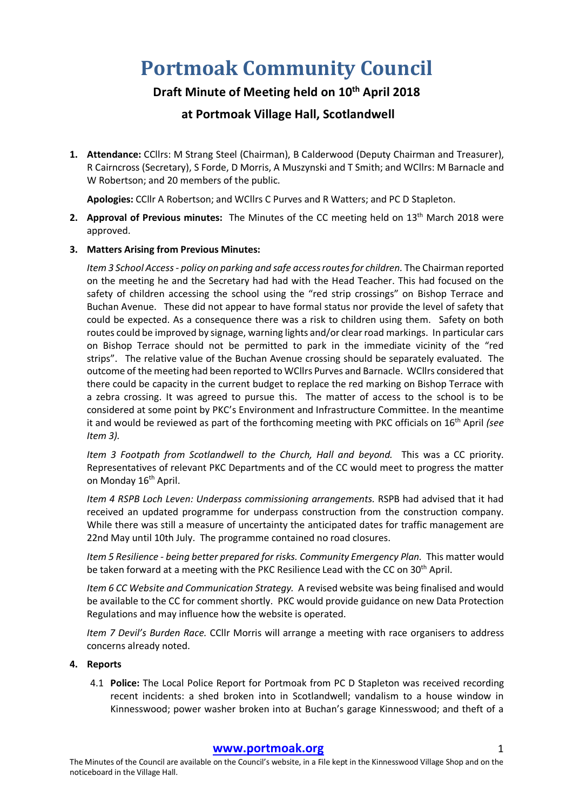# **Portmoak Community Council**

# **Draft Minute of Meeting held on 10th April 2018**

## **at Portmoak Village Hall, Scotlandwell**

**1. Attendance:** CCllrs: M Strang Steel (Chairman), B Calderwood (Deputy Chairman and Treasurer), R Cairncross (Secretary), S Forde, D Morris, A Muszynski and T Smith; and WCllrs: M Barnacle and W Robertson; and 20 members of the public.

**Apologies:** CCllr A Robertson; and WCllrs C Purves and R Watters; and PC D Stapleton.

**2. Approval of Previous minutes:** The Minutes of the CC meeting held on 13<sup>th</sup> March 2018 were approved.

## **3. Matters Arising from Previous Minutes:**

*Item 3 School Access - policy on parking and safe access routes for children.* The Chairman reported on the meeting he and the Secretary had had with the Head Teacher. This had focused on the safety of children accessing the school using the "red strip crossings" on Bishop Terrace and Buchan Avenue. These did not appear to have formal status nor provide the level of safety that could be expected. As a consequence there was a risk to children using them. Safety on both routes could be improved by signage, warning lights and/or clear road markings. In particular cars on Bishop Terrace should not be permitted to park in the immediate vicinity of the "red strips". The relative value of the Buchan Avenue crossing should be separately evaluated. The outcome of the meeting had been reported to WCllrs Purves and Barnacle. WCllrs considered that there could be capacity in the current budget to replace the red marking on Bishop Terrace with a zebra crossing. It was agreed to pursue this. The matter of access to the school is to be considered at some point by PKC's Environment and Infrastructure Committee. In the meantime it and would be reviewed as part of the forthcoming meeting with PKC officials on 16th April *(see Item 3).*

*Item 3 Footpath from Scotlandwell to the Church, Hall and beyond.* This was a CC priority. Representatives of relevant PKC Departments and of the CC would meet to progress the matter on Monday 16<sup>th</sup> April.

*Item 4 RSPB Loch Leven: Underpass commissioning arrangements.* RSPB had advised that it had received an updated programme for underpass construction from the construction company. While there was still a measure of uncertainty the anticipated dates for traffic management are 22nd May until 10th July. The programme contained no road closures.

*Item 5 Resilience - being better prepared for risks. Community Emergency Plan.* This matter would be taken forward at a meeting with the PKC Resilience Lead with the CC on 30<sup>th</sup> April.

*Item 6 CC Website and Communication Strategy.* A revised website was being finalised and would be available to the CC for comment shortly. PKC would provide guidance on new Data Protection Regulations and may influence how the website is operated.

*Item 7 Devil's Burden Race.* CCllr Morris will arrange a meeting with race organisers to address concerns already noted.

### **4. Reports**

4.1 **Police:** The Local Police Report for Portmoak from PC D Stapleton was received recording recent incidents: a shed broken into in Scotlandwell; vandalism to a house window in Kinnesswood; power washer broken into at Buchan's garage Kinnesswood; and theft of a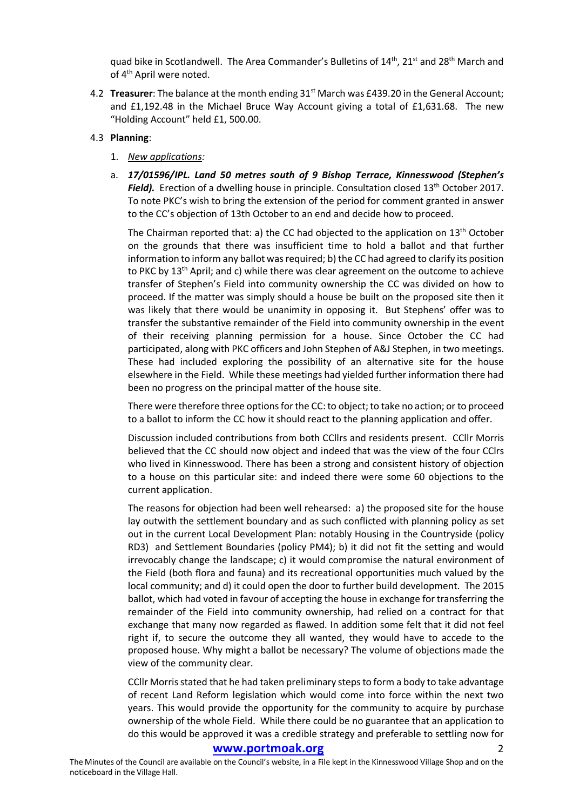quad bike in Scotlandwell. The Area Commander's Bulletins of  $14<sup>th</sup>$ ,  $21<sup>st</sup>$  and  $28<sup>th</sup>$  March and of 4<sup>th</sup> April were noted.

4.2 **Treasurer**: The balance at the month ending 31<sup>st</sup> March was £439.20 in the General Account; and £1,192.48 in the Michael Bruce Way Account giving a total of £1,631.68. The new "Holding Account" held £1, 500.00.

#### 4.3 **Planning**:

- 1. *New applications:*
- a. *17/01596/IPL. Land 50 metres south of 9 Bishop Terrace, Kinnesswood (Stephen's*  **Field).** Erection of a dwelling house in principle. Consultation closed 13<sup>th</sup> October 2017. To note PKC's wish to bring the extension of the period for comment granted in answer to the CC's objection of 13th October to an end and decide how to proceed.

The Chairman reported that: a) the CC had objected to the application on  $13<sup>th</sup>$  October on the grounds that there was insufficient time to hold a ballot and that further information to inform any ballot was required; b) the CC had agreed to clarify its position to PKC by 13<sup>th</sup> April; and c) while there was clear agreement on the outcome to achieve transfer of Stephen's Field into community ownership the CC was divided on how to proceed. If the matter was simply should a house be built on the proposed site then it was likely that there would be unanimity in opposing it. But Stephens' offer was to transfer the substantive remainder of the Field into community ownership in the event of their receiving planning permission for a house. Since October the CC had participated, along with PKC officers and John Stephen of A&J Stephen, in two meetings. These had included exploring the possibility of an alternative site for the house elsewhere in the Field. While these meetings had yielded further information there had been no progress on the principal matter of the house site.

There were therefore three options for the CC: to object; to take no action; or to proceed to a ballot to inform the CC how it should react to the planning application and offer.

Discussion included contributions from both CCllrs and residents present. CCllr Morris believed that the CC should now object and indeed that was the view of the four CClrs who lived in Kinnesswood. There has been a strong and consistent history of objection to a house on this particular site: and indeed there were some 60 objections to the current application.

The reasons for objection had been well rehearsed: a) the proposed site for the house lay outwith the settlement boundary and as such conflicted with planning policy as set out in the current Local Development Plan: notably Housing in the Countryside (policy RD3) and Settlement Boundaries (policy PM4); b) it did not fit the setting and would irrevocably change the landscape; c) it would compromise the natural environment of the Field (both flora and fauna) and its recreational opportunities much valued by the local community; and d) it could open the door to further build development. The 2015 ballot, which had voted in favour of accepting the house in exchange for transferring the remainder of the Field into community ownership, had relied on a contract for that exchange that many now regarded as flawed. In addition some felt that it did not feel right if, to secure the outcome they all wanted, they would have to accede to the proposed house. Why might a ballot be necessary? The volume of objections made the view of the community clear.

CCllr Morris stated that he had taken preliminary steps to form a body to take advantage of recent Land Reform legislation which would come into force within the next two years. This would provide the opportunity for the community to acquire by purchase ownership of the whole Field. While there could be no guarantee that an application to do this would be approved it was a credible strategy and preferable to settling now for

#### www.portmoak.org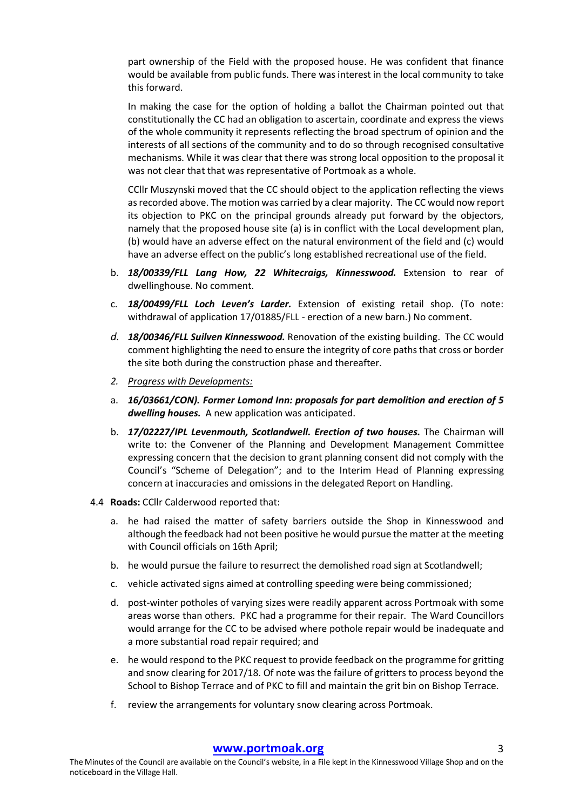part ownership of the Field with the proposed house. He was confident that finance would be available from public funds. There was interest in the local community to take this forward.

In making the case for the option of holding a ballot the Chairman pointed out that constitutionally the CC had an obligation to ascertain, coordinate and express the views of the whole community it represents reflecting the broad spectrum of opinion and the interests of all sections of the community and to do so through recognised consultative mechanisms. While it was clear that there was strong local opposition to the proposal it was not clear that that was representative of Portmoak as a whole.

CCllr Muszynski moved that the CC should object to the application reflecting the views as recorded above. The motion was carried by a clear majority. The CC would now report its objection to PKC on the principal grounds already put forward by the objectors, namely that the proposed house site (a) is in conflict with the Local development plan, (b) would have an adverse effect on the natural environment of the field and (c) would have an adverse effect on the public's long established recreational use of the field.

- b. *18/00339/FLL Lang How, 22 Whitecraigs, Kinnesswood.* Extension to rear of dwellinghouse. No comment.
- c. *18/00499/FLL Loch Leven's Larder.* Extension of existing retail shop. (To note: withdrawal of application 17/01885/FLL - erection of a new barn.) No comment.
- *d. 18/00346/FLL Suilven Kinnesswood.* Renovation of the existing building. The CC would comment highlighting the need to ensure the integrity of core paths that cross or border the site both during the construction phase and thereafter.
- *2. Progress with Developments:*
- a. *16/03661/CON). Former Lomond Inn: proposals for part demolition and erection of 5 dwelling houses.* A new application was anticipated.
- b. *17/02227/IPL Levenmouth, Scotlandwell. Erection of two houses.* The Chairman will write to: the Convener of the Planning and Development Management Committee expressing concern that the decision to grant planning consent did not comply with the Council's "Scheme of Delegation"; and to the Interim Head of Planning expressing concern at inaccuracies and omissions in the delegated Report on Handling.
- 4.4 **Roads:** CCllr Calderwood reported that:
	- a. he had raised the matter of safety barriers outside the Shop in Kinnesswood and although the feedback had not been positive he would pursue the matter at the meeting with Council officials on 16th April;
	- b. he would pursue the failure to resurrect the demolished road sign at Scotlandwell;
	- c. vehicle activated signs aimed at controlling speeding were being commissioned;
	- d. post-winter potholes of varying sizes were readily apparent across Portmoak with some areas worse than others. PKC had a programme for their repair. The Ward Councillors would arrange for the CC to be advised where pothole repair would be inadequate and a more substantial road repair required; and
	- e. he would respond to the PKC request to provide feedback on the programme for gritting and snow clearing for 2017/18. Of note was the failure of gritters to process beyond the School to Bishop Terrace and of PKC to fill and maintain the grit bin on Bishop Terrace.
	- f. review the arrangements for voluntary snow clearing across Portmoak.